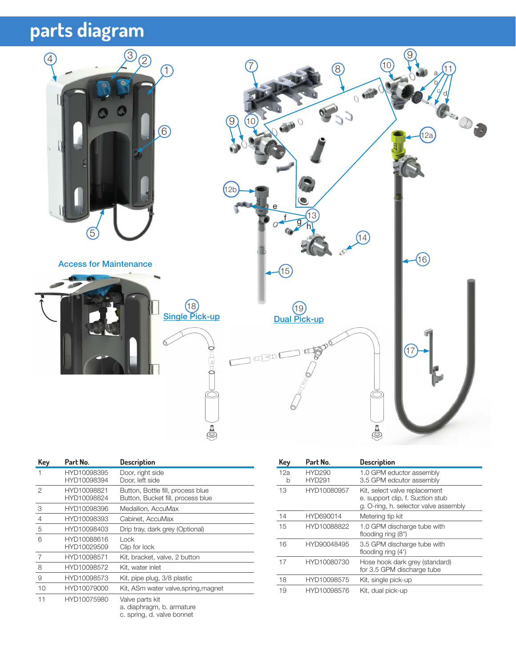# **parts diagram**



| Key            | Part No.                   | <b>Description</b>                                                     |
|----------------|----------------------------|------------------------------------------------------------------------|
|                | HYD10098395<br>HYD10098394 | Door, right side<br>Door, left side                                    |
| 2              | HYD10098821<br>HYD10098824 | Button, Bottle fill, process blue<br>Button, Bucket fill, process blue |
| 3              | HYD10098396                | Medallion, AccuMax                                                     |
| $\overline{4}$ | HYD10098393                | Cabinet, AccuMax                                                       |
| 5              | HYD10098403                | Drip tray, dark grey (Optional)                                        |
| 6              | HYD10088616<br>HYD10029509 | Lock<br>Clip for lock                                                  |
| 7              | HYD10098571                | Kit, bracket, valve, 2 button                                          |
| 8              | HYD10098572                | Kit, water inlet                                                       |
| 9              | HYD10098573                | Kit, pipe plug, 3/8 plastic                                            |
| 10             | HYD10079000                | Kit, ASm water valve, spring, magnet                                   |
| 11             | HYD10075980                | Valve parts kit<br>a. diaphragm, b. armature                           |

| Key      | Part No.                       | <b>Description</b>                                                                                         |
|----------|--------------------------------|------------------------------------------------------------------------------------------------------------|
| 12a<br>b | <b>HYD290</b><br><b>HYD291</b> | 1.0 GPM eductor assembly<br>3.5 GPM edcutor assembly                                                       |
| 13       | HYD10080957                    | Kit, select valve replacement<br>e. support clip, f. Suction stub<br>g. O-ring, h. selector valve assembly |
| 14       | HYD690014                      | Metering tip kit                                                                                           |
| 15       | HYD10088822                    | 1.0 GPM discharge tube with<br>flooding ring (8")                                                          |
| 16       | HYD90048495                    | 3.5 GPM discharge tube with<br>flooding ring (4')                                                          |
| 17       | HYD10080730                    | Hose hook dark grey (standard)<br>for 3.5 GPM discharge tube                                               |
| 18       | HYD10098575                    | Kit, single pick-up                                                                                        |
| 19       | HYD10098576                    | Kit, dual pick-up                                                                                          |

c. spring, d. valve bonnet